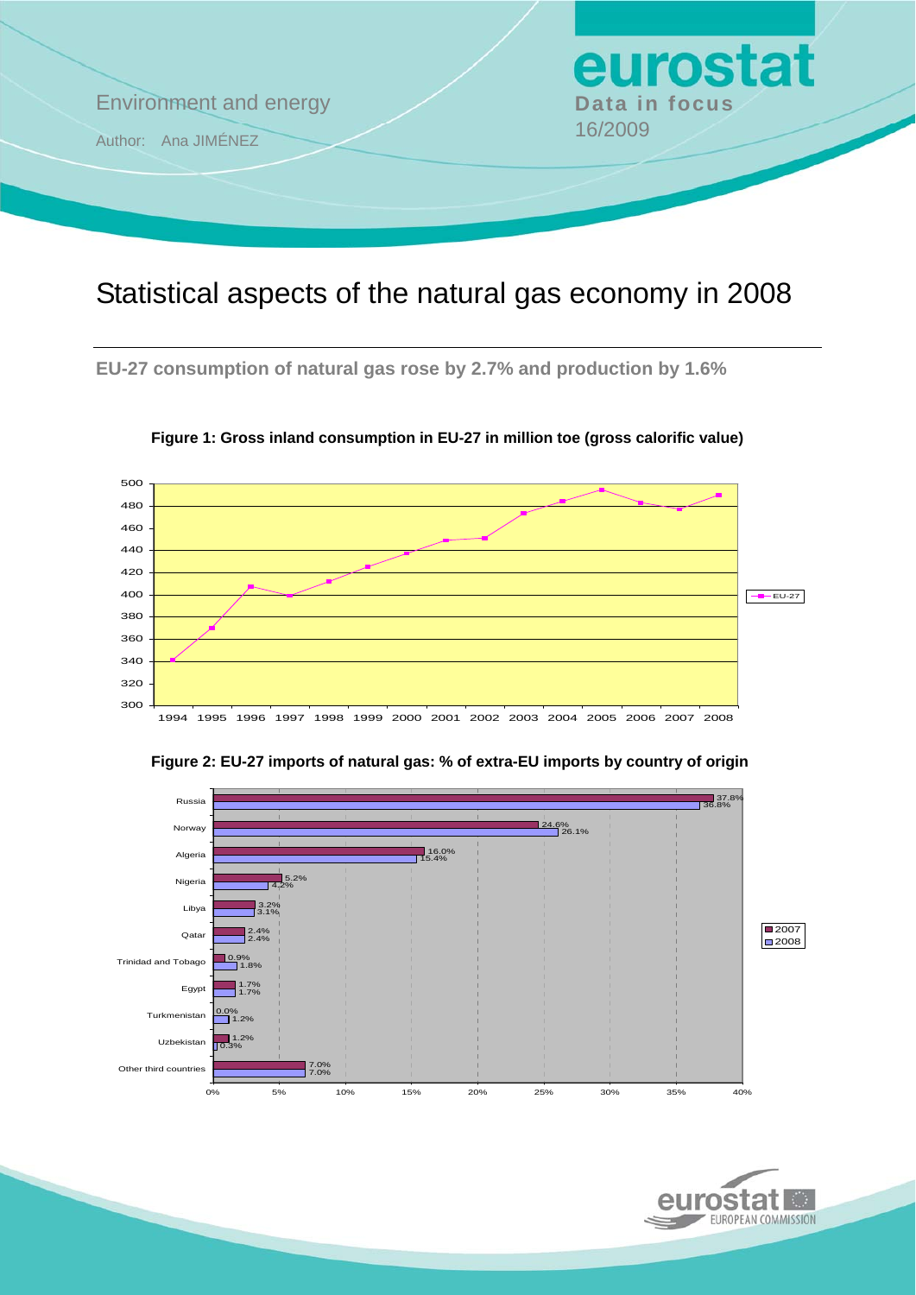

## Statistical aspects of the natural gas economy in 2008

**EU-27 consumption of natural gas rose by 2.7% and production by 1.6%** 



**Figure 1: Gross inland consumption in EU-27 in million toe (gross calorific value)** 



**Figure 2: EU-27 imports of natural gas: % of extra-EU imports by country of origin** 

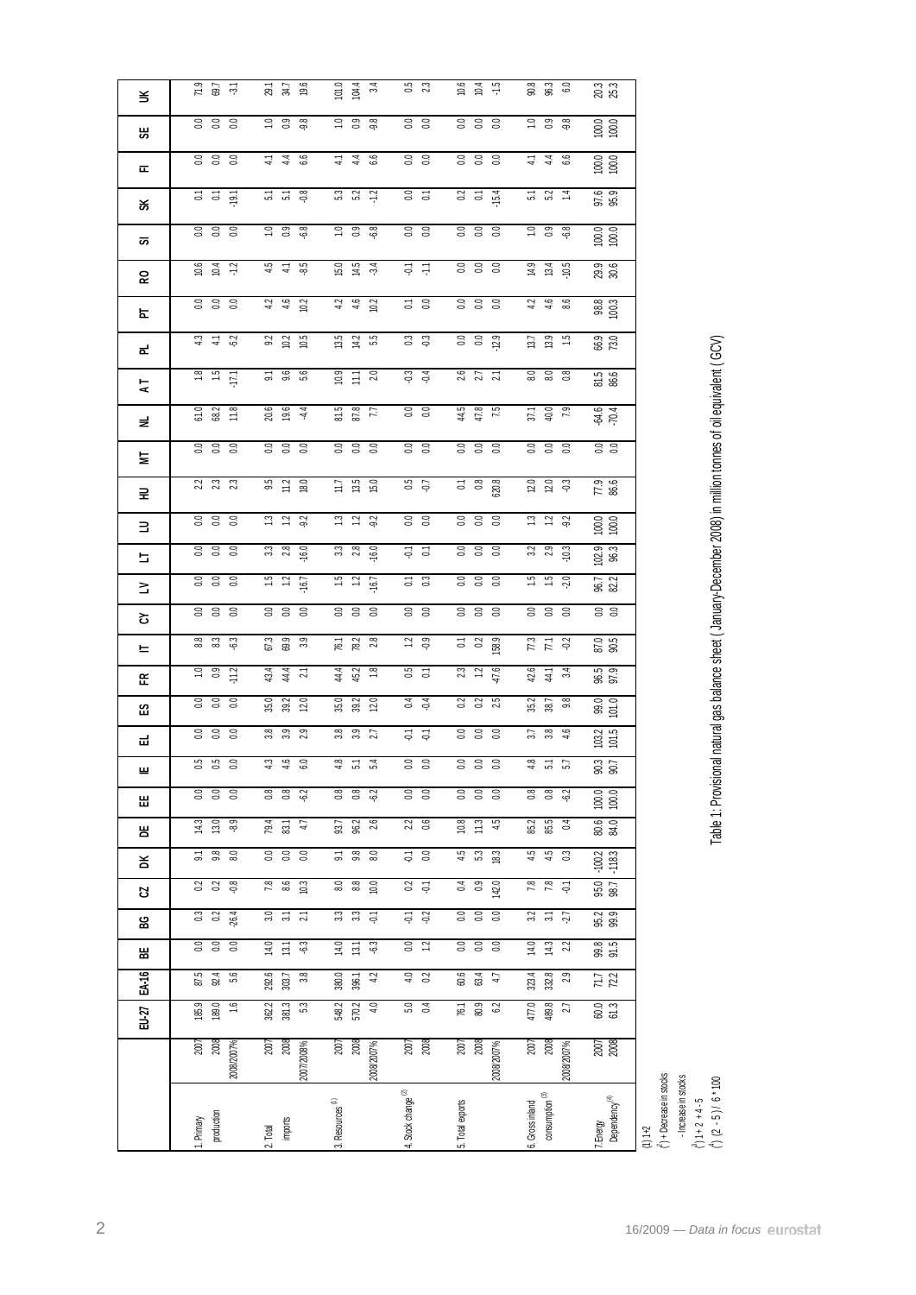|        | production<br>Primary                       | imports<br>Total<br>ςi                                  | . Resources <sup>(f)</sup><br>6                              | 4. Stock change <sup>(2)</sup>       | 5. Total exports                                     | consumption <sup>(3)</sup><br>Gross inland<br>ت  | r.Energy<br>Dependency <sup>(4)</sup>         | $(^2)$ + Decrease in stocks<br>- Increase in stocks<br>$(4)$ (2 - 5)/ 6*100<br>$\binom{3}{1}$ 1 + 2 + 4 - 5<br>$(1)1+2$ |
|--------|---------------------------------------------|---------------------------------------------------------|--------------------------------------------------------------|--------------------------------------|------------------------------------------------------|--------------------------------------------------|-----------------------------------------------|-------------------------------------------------------------------------------------------------------------------------|
|        | 2007<br>2008<br>2008/2007%                  | $\frac{2007}{2008}$<br>2007/2008%                       | $\frac{2007}{2008}$<br>2008/2007%                            | 2007<br>2008                         | 2008<br>2007<br>2008/2007%                           | $\frac{2007}{2008}$<br>2008/2007%                | 2007<br>2008                                  |                                                                                                                         |
| EU-27  | 185.9<br>189.0<br>$\frac{6}{10}$            | 381.3<br>362.2<br>$\mathbb{S}^3$                        | 548.2<br>570.2<br>4.0                                        | $5.0$<br>$0.4$                       | 76.1<br>80.9<br>62                                   | 477.0<br>489.8<br>27                             | 60.0<br>61.3                                  |                                                                                                                         |
| EA-16  | 87.5<br>92.4<br>56                          | 292.6<br>3.8<br>303.7                                   | 42<br>380.0<br>396.1                                         | $\overline{4.0}$<br>$\overline{02}$  | 60.6<br>63.4<br>47                                   | 2.9<br>323.4<br>332.8                            | $\frac{7}{7}$                                 |                                                                                                                         |
| 씲      |                                             | 14.0<br>$\mathbb{S}^3$<br>13.1                          | 14.0<br>ද?<br>13.1                                           | $\overline{0.0}$<br>$\tilde{c}$      | $\overline{0.0}$<br>38                               | 14.0<br>14.3<br>22                               | 99.5<br>91.5                                  |                                                                                                                         |
| ဥ္က    | 0.2<br>$-26.4$<br>$\rm ^{0.3}$              | 2.1<br>3.0<br>$\frac{1}{20}$                            | 3.3<br>3.3<br>$\overline{\Theta}$                            | $-0.2$<br>$\overline{\varphi}$       | 0.0<br>0.0<br>$\rm ^{0.0}$                           | 3.2<br>$\overline{\mathfrak{Z}}$<br>-2.7         | 95.2<br>99.9                                  |                                                                                                                         |
| ន      | 33<br>$\ddot{\mathrm{o}}$                   | $7.8$<br>8.6<br>10.3                                    | <b>8.3</b><br>10.0                                           | $3\overline{5}$                      | 300<br>142.0                                         | 78<br>7.8<br>$\tilde{\Theta}$                    | 95.0<br>98.7                                  |                                                                                                                         |
| ¥      | 9.8<br>8.0<br>2                             | $rac{3}{5}$<br>$\overline{0}$                           | $\overline{5}$<br>9.8<br>80                                  | $\overline{\varphi}$<br>$\rm ^{0.0}$ | 4.5<br>$5.3\,$<br>18.3                               | 4.5<br>4.5<br>$\mathbb{S}^3$                     | $-100.2$<br>$-118.3$                          |                                                                                                                         |
| 呂      | 14.3<br>13.0<br>83                          | $79.4$<br>83.1<br>$47$                                  | 96.2<br>2.6<br>93.7                                          | 2.2<br>0.6                           | 10.8<br>11.3<br>4.5                                  | 85.2<br>85.5<br>$\overline{0}4$                  | 80.6                                          |                                                                                                                         |
| Ш      | $\overline{0.0}$<br>$\overline{0.0}$<br>0.0 | $\overline{0.8}$<br>$\overline{0.8}$<br>$\overline{62}$ | $\overline{0.8}$<br>$\overline{0.8}$<br>$\overline{62}$      | $\overline{0.0}$<br>$\overline{c}$   | $\overline{0.0}$<br>$\overline{c}$<br>$\overline{c}$ | $\overline{0.8}$<br>$\overline{0.8}$<br>$62$     | 100.0                                         |                                                                                                                         |
| 쁘      | 5.<br>55<br>$\approx$                       | 4.3<br>4.6<br>3.0                                       | 4.8<br>$\overline{5}$<br>5.4                                 | 0.0<br>$\approx$                     | $\approx$<br>$\approx$<br>$\overline{0}$ .           | 4.8<br>51<br>5.7                                 | 90.3<br>90.7                                  |                                                                                                                         |
| ᆏ      | $rac{6}{6}$ $rac{6}{6}$ $rac{6}{6}$         | 3.8<br>3.9<br>2.9                                       | $3.8$<br>$3.9$<br>$2.7$                                      | $\overline{a}$ $\overline{b}$        | 3.38                                                 | $3.7$<br>$3.8$<br>$4.6$                          | $103.2$<br>$101.5$                            |                                                                                                                         |
| S3     | 0.0000                                      | 35.0<br>39.2<br>12.0                                    | 35.0<br>39.2<br>12.0                                         | 64                                   | $0.2$ $0.3$ $0.5$                                    | 35.2<br>38.7<br>9.8                              | 99.0<br>101.0                                 |                                                                                                                         |
| ᅂ      | 99<br>$-112$                                | 43.4<br>44<br>$\overline{c}$                            | $\frac{44}{4}$<br>45.2<br>$\frac{8}{10}$                     | $\frac{15}{20}$                      | $\frac{23}{12}$<br>47.6                              | 42.6<br>$\frac{41}{4}$<br>$\overline{34}$        | 96.5<br>97.9                                  |                                                                                                                         |
| ᄂ      | 83 33 3                                     | 67.3<br>69.9<br>$3.9$                                   | 76.1<br>78.2<br>2.8                                          | $2^{0}$ $-2^{0}$                     | $rac{1}{6}$<br>158.9                                 | $\begin{array}{c} 7.3 \\ 7.1 \\ 0.2 \end{array}$ | 87.0<br>90.5                                  |                                                                                                                         |
| ≊<br>ج | 0.0<br>0.0<br>0.0                           | 0.0<br>0.0<br>0.0                                       | 0.0<br>0.0<br>0.0                                            | $0.0$<br>$0.0$                       | 0.0<br>0.0<br>0.0                                    | 0.0<br>0.0<br>0.0                                | 0.0                                           |                                                                                                                         |
| 늘      | $0.0$<br>$0.0$                              | $\ddot{5}$<br>$\ddot{5}$<br>$-16.7$                     | $1.5$<br>$1.2$<br>16.7                                       | $\frac{1}{6}$ 3                      | $0.0\ 0.0$<br>0.0                                    | 1.5<br>$\ddot{5}$<br>2.0                         | 96.7<br>82.2                                  |                                                                                                                         |
| ∃      | 3.38                                        | 3380                                                    | 3380                                                         | $\frac{1}{2}$ 5                      | $rac{1}{200}$                                        | $329$ $29$                                       | $\frac{102.9}{96.3}$                          |                                                                                                                         |
| 로      | 3.3 <sub>0.0</sub>                          | $13$ $12$ $92$                                          | $\begin{array}{c} 2 \\ 1 \end{array}$<br>92                  | $rac{1}{6}$                          | 3.3 <sup>o</sup>                                     | $\frac{13}{2}$ $\frac{13}{2}$                    | $\begin{array}{c} 100.0 \\ 100.0 \end{array}$ |                                                                                                                         |
| 늧      | 2.3<br>2.3                                  | $\begin{array}{c} 9.5 \\ 1.2 \\ 18.0 \end{array}$       | $11.7$<br>$13.5$<br>$15.0$                                   | $0.5$ 0.7                            | $rac{1}{6}$ $rac{8}{6}$ $rac{8}{6}$                  | 20 20 30                                         | 77.9<br>86.6                                  |                                                                                                                         |
|        | 3.38                                        | 3.3 <sub>0</sub>                                        | 3.3 <sub>0</sub>                                             | 0.0                                  | 3.3 <sub>0</sub>                                     | 3.3 <sub>0</sub>                                 | $rac{1}{60}$                                  |                                                                                                                         |
| 로      | $rac{61.0}{68.2}$                           | $\frac{20.6}{19.6}$                                     | $\begin{array}{c} 2.7 \\ 2.2 \\ 8 \\ 12 \\ 8 \\ \end{array}$ | $rac{6}{5}$                          | $\frac{44.5}{47.8}$                                  | $37.1$<br>40.0<br>7.9                            | $rac{64.6}{70.4}$                             |                                                                                                                         |
| 14     | $\frac{2}{12}$ $\frac{1}{12}$               | $9.1$<br>$9.6$<br>$5.6$                                 | $\begin{array}{c} 10.9 \\ 11.1 \\ 2.0 \end{array}$           | $rac{3}{9}$ $rac{4}{9}$              | $\frac{2.6}{2.7}$                                    | $8.0$<br>$8.0$<br>$0.8$                          | 81.5<br>86.6                                  | Table 1: Provisional natural gas balance sheet (January-December 2008) in million tonnes of oil equivalent (GCV)        |
| ᇍ      | $4.3$ $4.5$                                 | $\begin{array}{c} 9.2 \\ 10.5 \end{array}$              | $13.5$<br>$14.2$<br>55                                       | $\frac{3}{9}$                        | <b>ខ ខ ខ្</b>                                        | 13.9<br>13.7<br>$\frac{15}{10}$                  | 66.9<br>73.0                                  |                                                                                                                         |
| 눈      | 3.38                                        | $4.2$<br>$4.6$<br>10.2                                  | $4.2$<br>$4.6$<br>10.2                                       | $0.1$<br>$0.0$                       | 0.0<br>0.0<br>0.0                                    | $4.3$ $4.6$ 8.6                                  | 98.8<br>100.3                                 |                                                                                                                         |
| ဥ      | $10.6$<br>$10.4$<br>$-1.2$                  | 8.5<br>4.5                                              | $15.0$<br>$14.5$<br>$3.4$                                    | 등 두                                  | 388                                                  | $14.9$<br>13.4<br>$-10.5$                        | 29.9<br>30.6                                  |                                                                                                                         |
| ळ      | <b>ខ ខ ខ</b>                                | $\overline{0.9}$<br>$\overline{68}$<br>$\Xi$            | $\frac{10}{2}$<br>$\frac{8}{3}$                              | $rac{1}{6}$                          | $rac{1}{6}$ $rac{1}{6}$ $rac{1}{6}$                  | $\overline{0.9}$<br>$\Xi$<br>$\frac{8}{3}$       | $\begin{array}{c} 100.0 \\ 100.0 \end{array}$ |                                                                                                                         |
| శ      | 555                                         | $-0.8$<br>$\frac{1}{2}$ $\frac{1}{2}$                   | 5.<br>5.<br>5.<br>2<br>$\ddot{ }$ :                          | $rac{0}{0}$                          | $0.2$<br>$0.1$<br>$15.4$                             | 5.2<br>$\ddot{ }$                                | 97.6<br>95.9                                  |                                                                                                                         |
| ᇎ      | 333                                         | $\frac{4}{4}$ $\frac{4}{4}$<br>6.6                      | 89<br>는 글                                                    | $rac{3}{5}$                          | 333                                                  | 4.6<br>$\frac{4}{3}$                             | 100.0                                         |                                                                                                                         |
| ₩      |                                             |                                                         |                                                              |                                      |                                                      |                                                  | $\frac{100.0}{100.0}$                         |                                                                                                                         |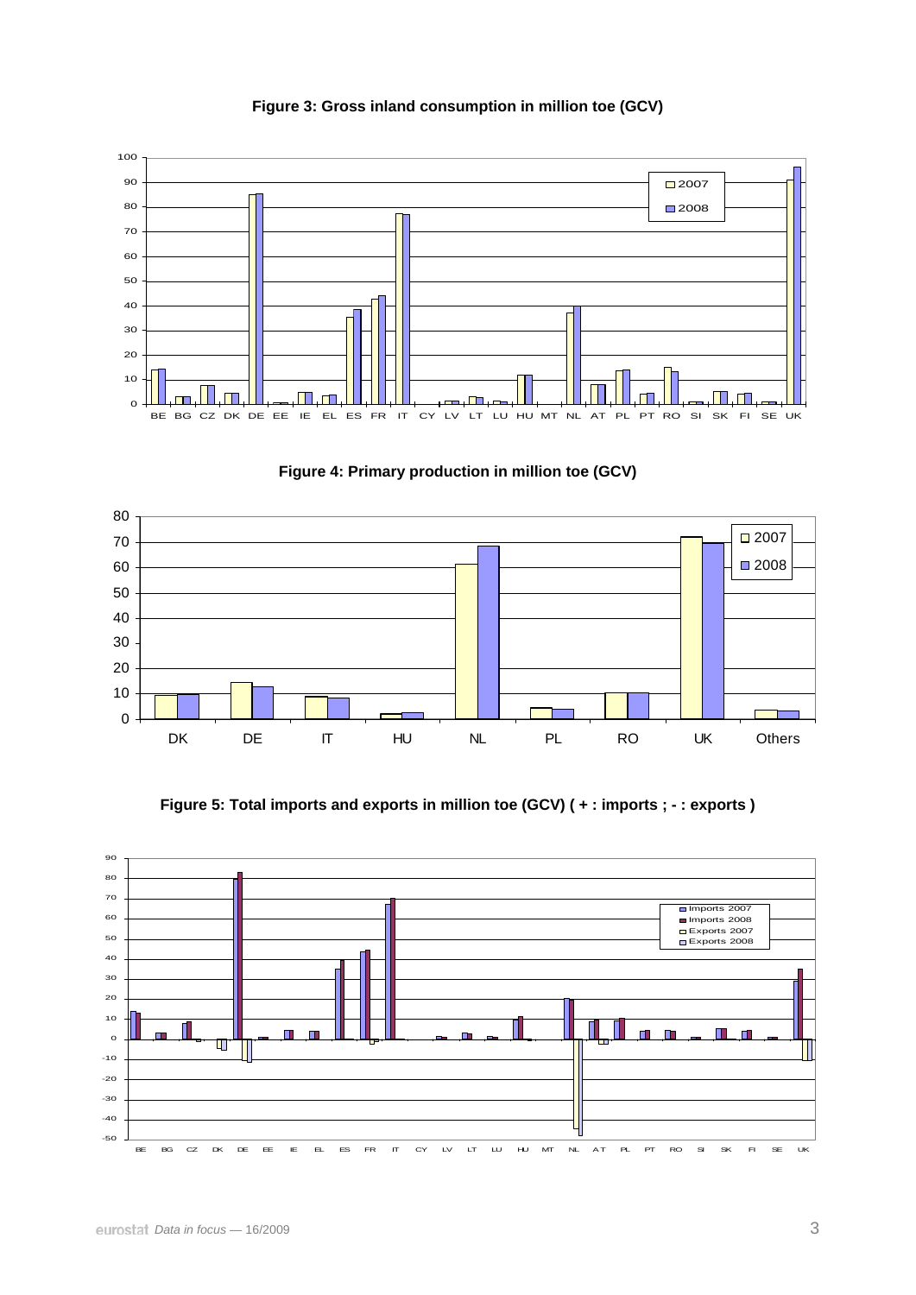

**Figure 3: Gross inland consumption in million toe (GCV)** 





**Figure 5: Total imports and exports in million toe (GCV) ( + : imports ; - : exports )**